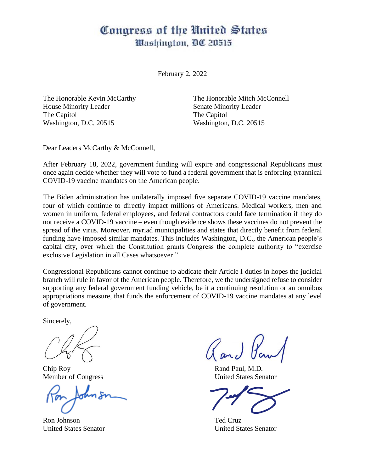## Congress of the United States Mashington, DC 20515

February 2, 2022

The Honorable Kevin McCarthy House Minority Leader The Capitol Washington, D.C. 20515

The Honorable Mitch McConnell Senate Minority Leader The Capitol Washington, D.C. 20515

Dear Leaders McCarthy & McConnell,

After February 18, 2022, government funding will expire and congressional Republicans must once again decide whether they will vote to fund a federal government that is enforcing tyrannical COVID-19 vaccine mandates on the American people.

The Biden administration has unilaterally imposed five separate COVID-19 vaccine mandates, four of which continue to directly impact millions of Americans. Medical workers, men and women in uniform, federal employees, and federal contractors could face termination if they do not receive a COVID-19 vaccine – even though evidence shows these vaccines do not prevent the spread of the virus. Moreover, myriad municipalities and states that directly benefit from federal funding have imposed similar mandates. This includes Washington, D.C., the American people's capital city, over which the Constitution grants Congress the complete authority to "exercise exclusive Legislation in all Cases whatsoever."

Congressional Republicans cannot continue to abdicate their Article I duties in hopes the judicial branch will rule in favor of the American people. Therefore, we the undersigned refuse to consider supporting any federal government funding vehicle, be it a continuing resolution or an omnibus appropriations measure, that funds the enforcement of COVID-19 vaccine mandates at any level of government.

Sincerely,

Member of Congress United States Senator

Ron Johnson Ted Cruz

Chip Roy Rand Paul, M.D.

United States Senator United States Senator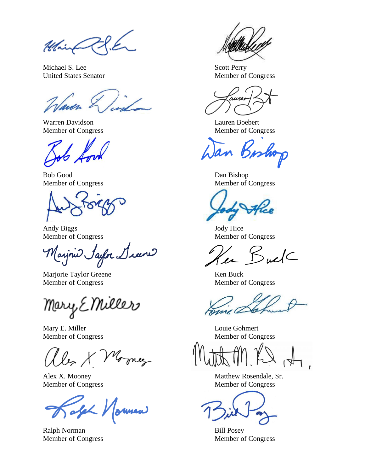Ulin

Michael S. Lee Scott Perry United States Senator Member of Congress

Varen

Warren Davidson Lauren Boebert

Bob Good Dan Bishop

Andy Biggs Jody Hice

(aijnie Sayor Diene

Marjorie Taylor Greene Ken Buck Member of Congress Member of Congress

Mary E Miller

Mary E. Miller Louie Gohmert

by X Morney

oleh Normen

Ralph Norman Bill Posey

Member of Congress Member of Congress

Member of Congress Member of Congress

Member of Congress Member of Congress

en Buel

Member of Congress Member of Congress

Alex X. Mooney Matthew Rosendale, Sr. Member of Congress Member of Congress

Member of Congress Member of Congress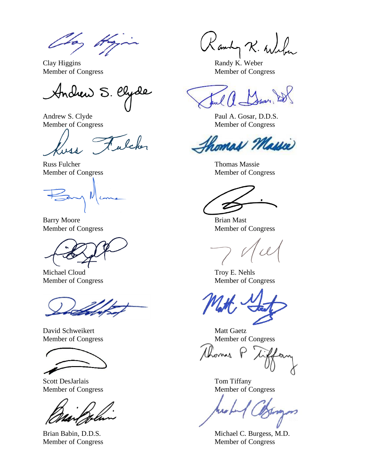To, A

Clay Higgins Randy K. Weber

Anchew S. Clyde

alcher

Russ Fulcher Thomas Massie

Barry Moore Brian Mast

Michael Cloud Troy E. Nehls

David Schweikert Matt Gaetz



Scott DesJarlais Tom Tiffany

Kamby R. Willen

Member of Congress Member of Congress

Andrew S. Clyde Paul A. Gosar, D.D.S. Member of Congress Member of Congress

homas Massie

Member of Congress Member of Congress

Member of Congress Member of Congress

Member of Congress Member of Congress

Member of Congress Member of Congress

Chonis

Member of Congress Member of Congress

Brian Babin, D.D.S. Michael C. Burgess, M.D. Member of Congress Member of Congress